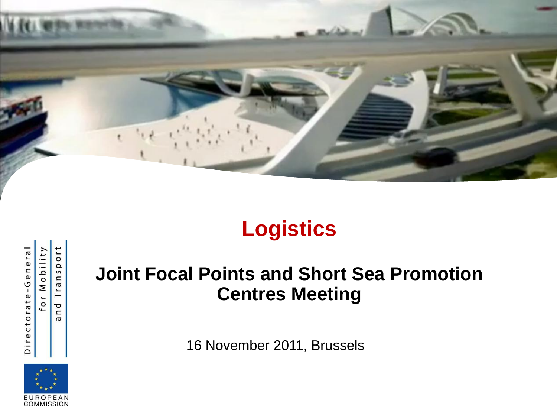

# **Logistics**

for Mobility

Directorate-General

ort nsp  $\sigma$ Tr  $\overline{\sigma}$  $\mathord{\text{\rm c}}$  $\sigma$ 



**Joint Focal Points and Short Sea Promotion Centres Meeting**

16 November 2011, Brussels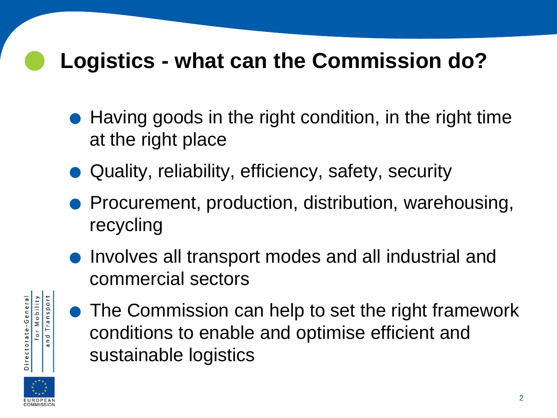#### **Logistics - what can the Commission do?**

- Having goods in the right condition, in the right time at the right place
- .Quality, reliability, efficiency, safety, security
- Procurement, production, distribution, warehousing, recycling
- **•** Involves all transport modes and all industrial and commercial sectors



• The Commission can help to set the right framework conditions to enable and optimise efficient and sustainable logistics

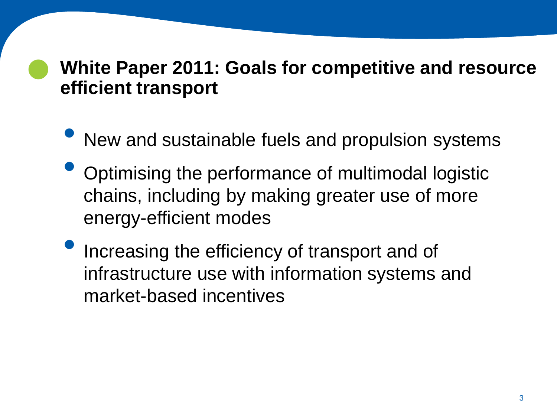## **White Paper 2011: Goals for competitive and resource efficient transport**

- New and sustainable fuels and propulsion systems
- Optimising the performance of multimodal logistic chains, including by making greater use of more energy-efficient modes
- Increasing the efficiency of transport and of infrastructure use with information systems and market-based incentives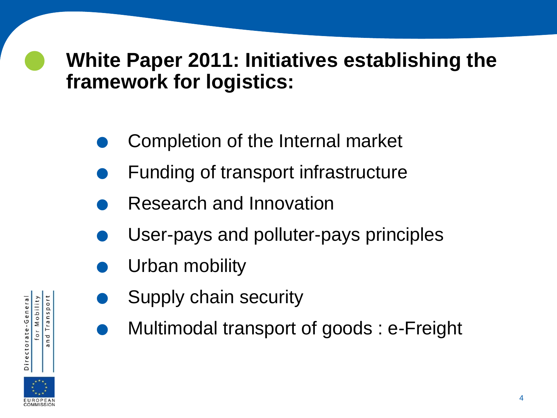#### **White Paper 2011: Initiatives establishing the framework for logistics:**

- Completion of the Internal market
- Completion of the Internal market<br>● Funding of transport infrastructure Funding of transport infrastructure<br>Research and Innovation
	-
- Research and Innovation<br>● User-pays and polluter-pays principles
- User-pays and<br>• Urban mobility
	- Urban mobility<br>Supply chain security
	- . Multimodal transport of goods : e-Freight



for Mobility Transport

n d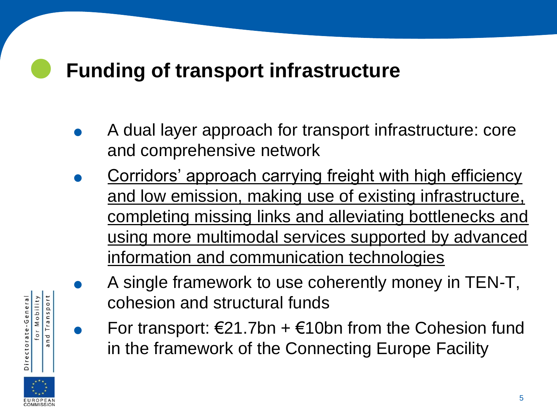## **Funding of transport infrastructure**

- . A dual layer approach for transport infrastructure: core and comprehensive network
- . Corridors' approach carrying freight with high efficiency and low emission, making use of existing infrastructure, completing missing links and alleviating bottlenecks and using more multimodal services supported by advanced information and communication technologies
	- . A single framework to use coherently money in TEN-T, cohesion and structural funds
		- For transport:  $\epsilon$ 21.7bn +  $\epsilon$ 10bn from the Cohesion fund in the framework of the Connecting Europe Facility

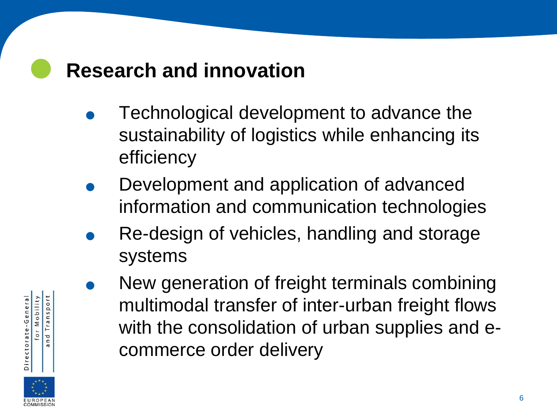#### **Research and innovation**

- . Technological development to advance the sustainability of logistics while enhancing its efficiency
- . Development and application of advanced
- information and communication technologies . Re-design of vehicles, handling and storage systems
	- . New generation of freight terminals combining multimodal transfer of inter-urban freight flows with the consolidation of urban supplies and ecommerce order delivery

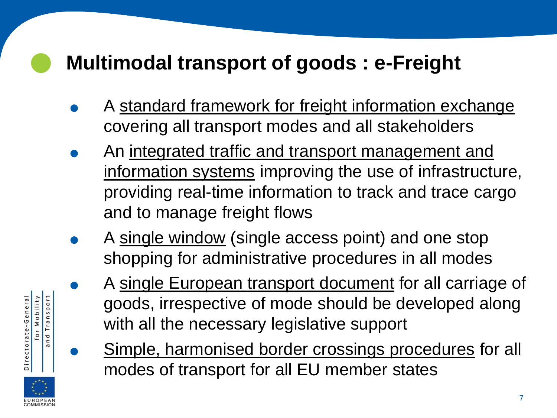# **Multimodal transport of goods : e-Freight**

Directorate-General

for Mobility and Transport

- A standard framework for freight information exchange covering all transport modes and all stakeholders
- . An integrated traffic and transport management and information systems improving the use of infrastructure, providing real-time information to track and trace cargo and to manage freight flows
- . A single window (single access point) and one stop shopping for administrative procedures in all modes
	- A single European transport document for all carriage of goods, irrespective of mode should be developed along with all the necessary legislative support
	- . Simple, harmonised border crossings procedures for all modes of transport for all EU member states

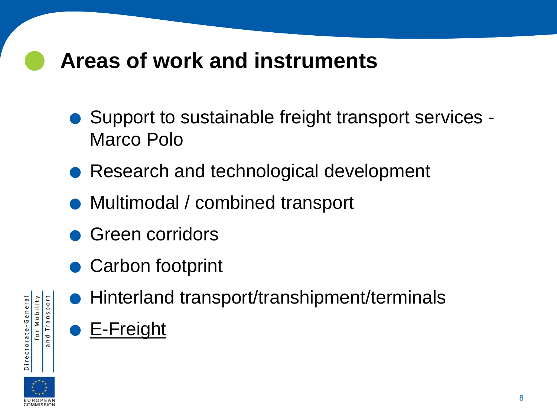#### **Areas of work and instruments**

- Support to sustainable freight transport services -Marco Polo • Support to sustainable freight transport se<br>Marco Polo<br>• Research and technological development
- Research and technological dev<br>• Multimodal / combined transport
- Multimodal / combined transport<br>• Green corridors
- 
- Carbon footprint
- nd Transport Directorate-General or Mobility  $\sigma$
- Carbon footprint<br>● Hinterland transport/transhipment/terminals **.** Hinterland<br> **.** E-Freight

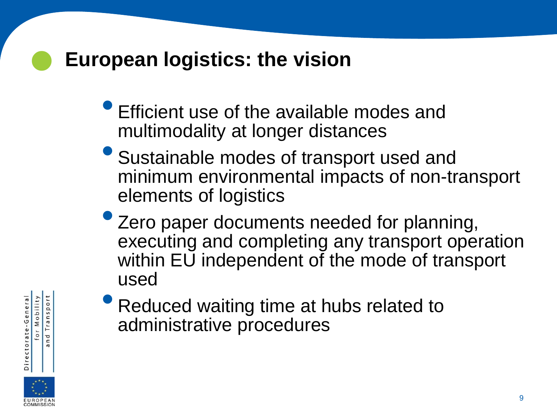#### **European logistics: the vision**

- Efficient use of the available modes and multimodality at longer distances
- Sustainable modes of transport used and minimum environmental impacts of non-transport elements of logistics
- Zero paper documents needed for planning, executing and completing any transport operation within EU independent of the mode of transport used



• Reduced waiting time at hubs related to administrative procedures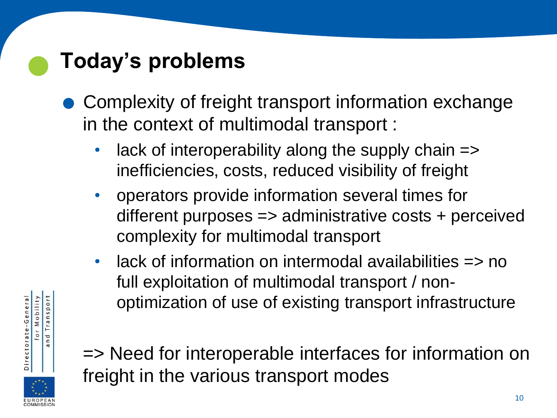### **Today's problems**

- .Complexity of freight transport information exchange in the context of multimodal transport :
	- lack of interoperability along the supply chain => inefficiencies, costs, reduced visibility of freight
	- operators provide information several times for different purposes => administrative costs + perceived complexity for multimodal transport
	- lack of information on intermodal availabilities => no full exploitation of multimodal transport / nonoptimization of use of existing transport infrastructure



for Mobility Transport

n d  $\sigma$ 

=> Need for interoperable interfaces for information on freight in the various transport modes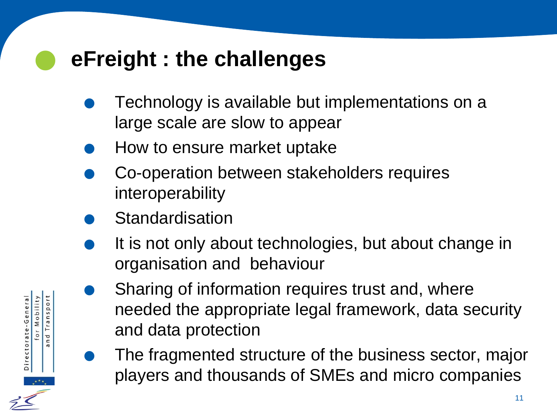#### **eFreight : the challenges**

- . Technology is available but implementations on a large scale are slow to appear • I echnology is available but in<br>large scale are slow to appea<br>How to ensure market uptake
	-
- How to ensure market uptake<br>Co-operation between stakeholders requires interoperability • Co-operation be<br>interoperability<br>• Standardisation
	-

Directorate-General

for Mobility nd Transport

- Standardisation<br>It is not only about technologies, but about change in organisation and behaviour
	- Sharing of information requires trust and, where needed the appropriate legal framework, data security and data protection
	- . The fragmented structure of the business sector, major players and thousands of SMEs and micro companies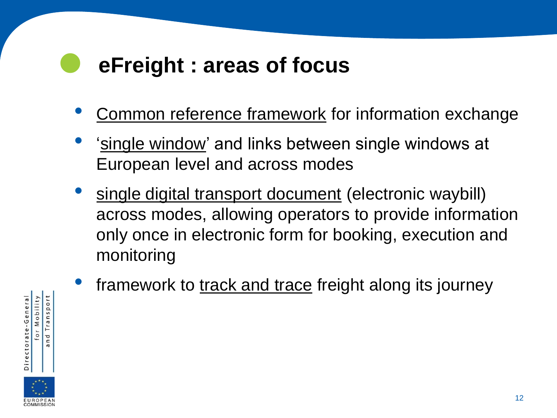#### **eFreight : areas of focus**

- Common reference framework for information exchange
- 'single window' and links between single windows at European level and across modes
- single digital transport document (electronic waybill) across modes, allowing operators to provide information only once in electronic form for booking, execution and monitoring
- framework to track and trace freight along its journey

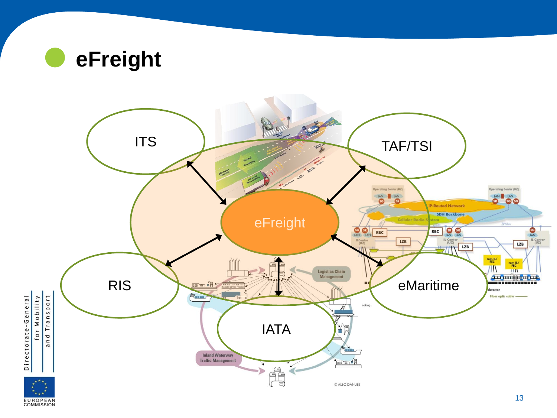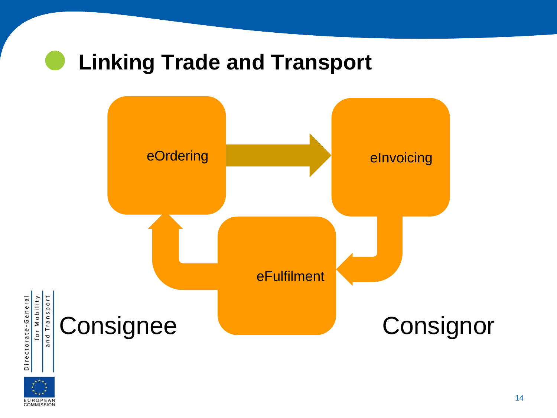#### **Linking Trade and Transport**

Directorate-General

**EUROPEAN**<br>COMMISSION

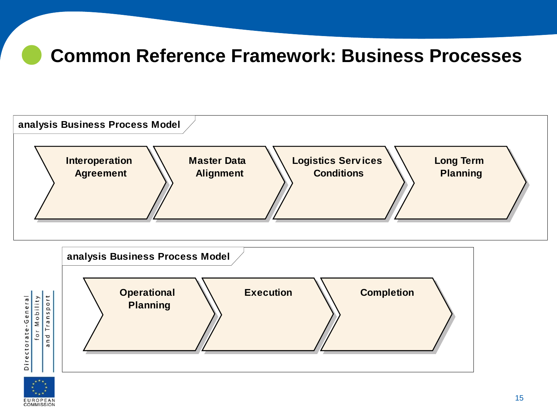#### **Common Reference Framework: Business Processes**







Directorate-General

for Mobility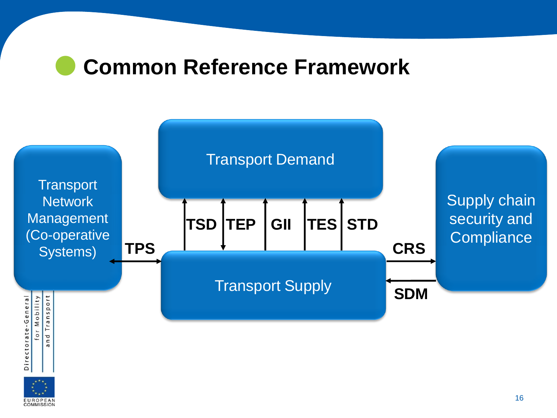#### **Common Reference Framework**



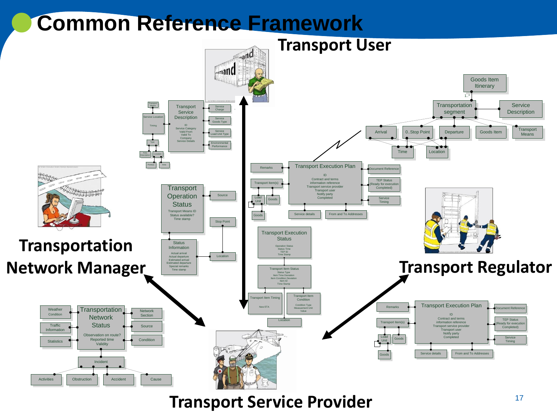# **Common Reference Framework**



**Transport Service Provider Transport Service Provider**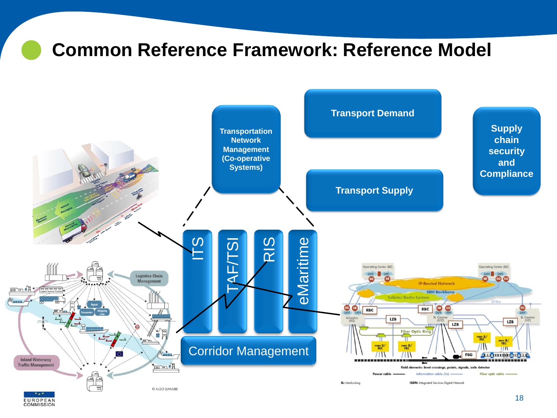## **Common Reference Framework: Reference Model**



**EUROPEAN**<br>COMMISSION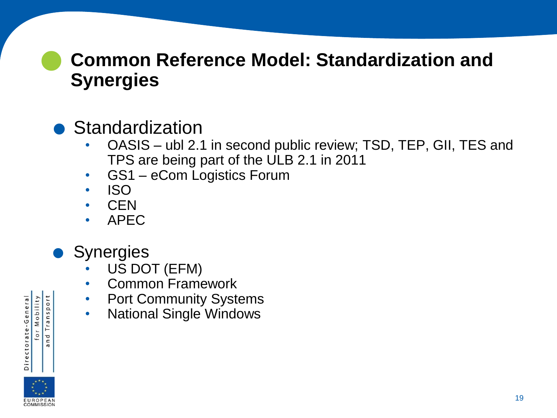#### **Common Reference Model: Standardization and Synergies**

## • Standardization

- OASIS ubl 2.1 in second public review; TSD, TEP, GII, TES and TPS are being part of the ULB 2.1 in 2011
- GS1 eCom Logistics Forum
- ISO
- CEN
- APEC
- **Synergies** 
	- US DOT (EFM)
	- Common Framework
	- Port Community Systems
	- National Single Windows



for Mobility Transport

n d  $\sigma$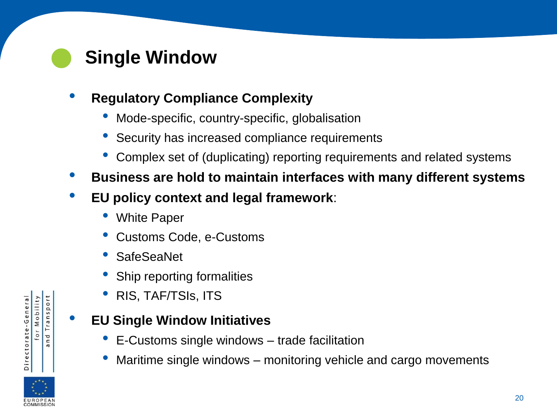#### **Single Window**

#### • **Regulatory Compliance Complexity**

- Mode-specific, country-specific, globalisation
- Security has increased compliance requirements
- Complex set of (duplicating) reporting requirements and related systems
- **Business are hold to maintain interfaces with many different systems**
- **EU policy context and legal framework**:
	- **White Paper**
	- Customs Code, e-Customs
	- SafeSeaNet
	- Ship reporting formalities
	- RIS, TAF/TSIs, ITS

#### • **EU Single Window Initiatives**

- E-Customs single windows trade facilitation
- Maritime single windows monitoring vehicle and cargo movements



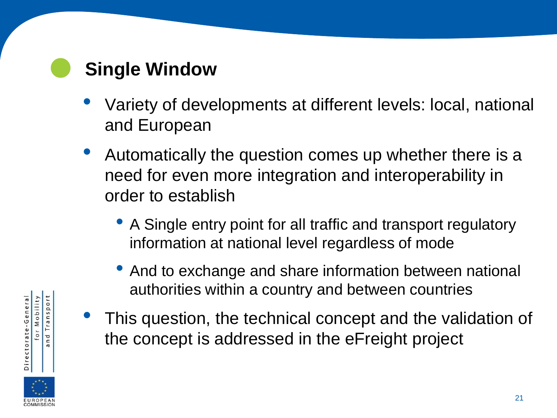#### **Single Window**

- Variety of developments at different levels: local, national and European
- Automatically the question comes up whether there is a need for even more integration and interoperability in order to establish
	- A Single entry point for all traffic and transport regulatory information at national level regardless of mode
	- And to exchange and share information between national authorities within a country and between countries
	- This question, the technical concept and the validation of the concept is addressed in the eFreight project



for Mobility nd Transport

 $\sigma$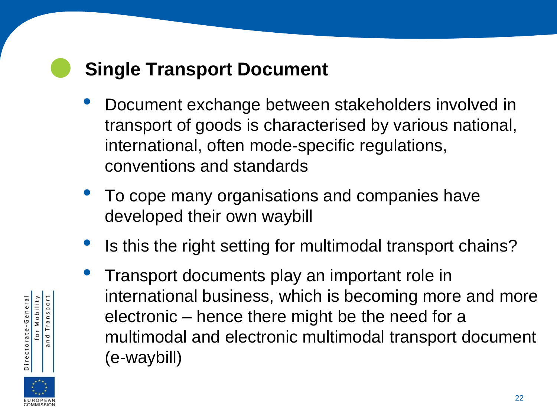#### **Single Transport Document**

- Document exchange between stakeholders involved in transport of goods is characterised by various national, international, often mode-specific regulations, conventions and standards
- To cope many organisations and companies have developed their own waybill
- Is this the right setting for multimodal transport chains?
- Transport documents play an important role in international business, which is becoming more and more electronic – hence there might be the need for a multimodal and electronic multimodal transport document (e-waybill)